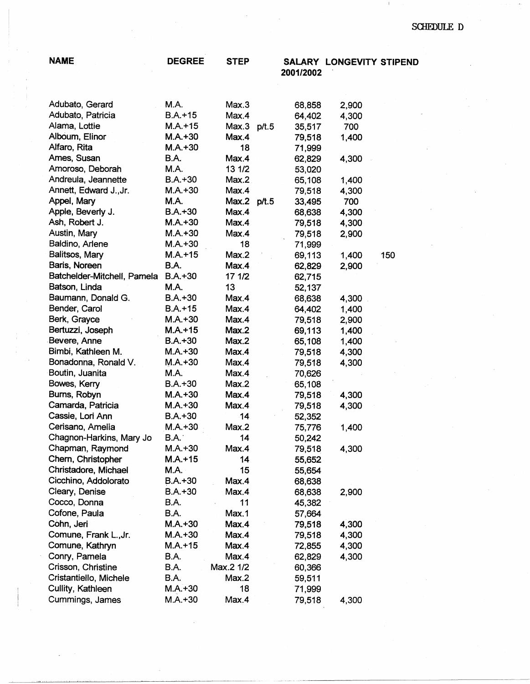| <b>NAME</b>                            | <b>DEGREE</b>     | <b>STEP</b> | 2001/2002        | SALARY LONGEVITY STIPEND |     |
|----------------------------------------|-------------------|-------------|------------------|--------------------------|-----|
|                                        |                   |             |                  |                          |     |
| Adubato, Gerard                        | M.A.              | Max.3       | 68,858           | 2,900                    |     |
| Adubato, Patricia                      | $B.A.+15$         | Max.4       | 64,402           | 4,300                    |     |
| Alama, Lottie                          | $M.A.+15$         | Max.3 p/t.5 | 35,517           | 700                      |     |
| Alboum, Elinor                         | $M.A.+30$         | Max.4       | 79,518           | 1,400                    |     |
| Alfaro, Rita                           | $M.A.+30$         | 18          | 71,999           |                          |     |
| Ames, Susan                            | <b>B.A.</b>       | Max.4       | 62,829           | 4,300                    |     |
| Amoroso, Deborah                       | M.A.              | 13 1/2      | 53,020           |                          |     |
| Andreula, Jeannette                    | $B.A.+30$         | Max.2       | 65,108           | 1,400                    |     |
| Annett, Edward J., Jr.                 | $M.A.+30$         | Max.4       | 79,518           | 4,300                    |     |
| Appel, Mary                            | <b>M.A.</b>       | Max.2 p/t.5 | 33,495           | 700                      |     |
| Apple, Beverly J.                      | $B.A.+30$         | Max.4       | 68,638           | 4,300                    |     |
| Ash, Robert J.                         | $M.A.+30$         | Max.4       | 79,518           | 4,300                    |     |
| Austin, Mary                           | $M.A.+30$         | Max.4       | 79,518           | 2,900                    |     |
| Baldino, Arlene                        | $M.A.+30$         | 18          | 71,999           |                          |     |
| Balitsos, Mary                         | $M.A.+15$         | Max.2       | 69,113           | 1,400                    | 150 |
| Baris, Noreen                          | B.A.              | Max.4       | 62,829           | 2,900                    |     |
| Batchelder-Mitchell, Pamela            | $B.A.+30$         | 17 1/2      | 62,715           |                          |     |
| Batson, Linda                          | <b>M.A.</b>       | 13          | 52,137           |                          |     |
| Baumann, Donald G.                     | $B.A.+30$         | Max.4       | 68,638           | 4,300                    |     |
| Bender, Carol                          | $B.A.+15$         | Max.4       | 64,402           | 1,400                    |     |
| Berk, Grayce                           | $M.A.+30$         | Max.4       | 79,518           | 2,900                    |     |
| Bertuzzi, Joseph                       | $M.A. + 15$       | Max.2       | 69,113           | 1,400                    |     |
| Bevere, Anne                           | $B.A.+30$         | Max.2       | 65,108           | 1,400                    |     |
| Bimbi, Kathleen M.                     | $M.A.+30$         | Max.4       | 79,518           | 4,300                    |     |
| Bonadonna, Ronald V.                   | $M.A.+30$         | Max.4       | 79,518           | 4,300                    |     |
| Boutin, Juanita                        | M.A.              | Max.4       | 70,626           |                          |     |
| Bowes, Kerry                           | $B.A.+30$         | Max.2       | 65,108           |                          |     |
| Burns, Robyn                           | $M.A. + 30$       | Max.4       | 79,518           | 4,300                    |     |
| Camarda, Patricia                      | $M.A.+30$         | Max.4       | 79,518           | 4,300                    |     |
| Cassie, Lori Ann                       | $B.A.+30$         | 14          | 52,352           |                          |     |
| Cerisano, Amelia                       | $M.A.+30$         | Max.2<br>14 | 75,776           | 1,400                    |     |
| Chagnon-Harkins, Mary Jo               | B.A.<br>$M.A.+30$ |             | 50,242           |                          |     |
| Chapman, Raymond<br>Chern, Christopher | $M.A. + 15$       | Max.4<br>14 | 79,518           | 4,300                    |     |
| Christadore, Michael                   | M.A.              | 15          | 55,652           |                          |     |
| Cicchino, Addolorato                   | $B.A.+30$         | Max.4       | 55,654           |                          |     |
| Cleary, Denise                         | $B.A.+30$         | Max.4       | 68,638           | 2,900                    |     |
| Cocco, Donna                           | B.A.              | 11          | 68,638<br>45,382 |                          |     |
| Cofone, Paula                          | B.A.              | Max.1       | 57,664           |                          |     |
| Cohn, Jeri                             | $M.A.+30$         | Max.4       | 79,518           | 4,300                    |     |
| Comune, Frank L., Jr.                  | $M.A.+30$         | Max.4       | 79,518           | 4,300                    |     |
| Comune, Kathryn                        | $M.A.+15$         | Max.4       | 72,855           | 4,300                    |     |
| Conry, Pamela                          | <b>B.A.</b>       | Max.4       | 62,829           | 4,300                    |     |
| Crisson, Christine                     | B.A.              | Max.2 1/2   | 60,366           |                          |     |
| Cristantiello, Michele                 | B.A.              | Max.2       | 59,511           |                          |     |
| Cullity, Kathleen                      | $M.A.+30$         | 18          | 71,999           |                          |     |
| Cummings, James                        | $M.A.+30$         | Max.4       | 79,518           | 4,300                    |     |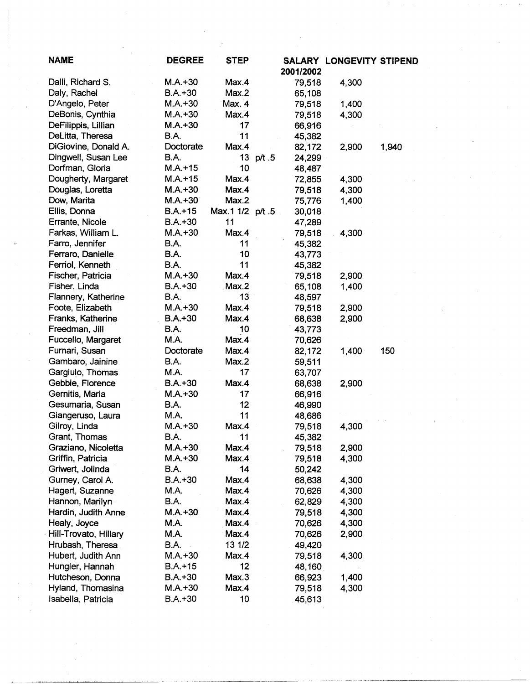| <b>NAME</b>           | <b>DEGREE</b> | <b>STEP</b>     |           |           | <b>SALARY LONGEVITY STIPEND</b> |       |
|-----------------------|---------------|-----------------|-----------|-----------|---------------------------------|-------|
|                       |               |                 |           | 2001/2002 |                                 |       |
| Dalli, Richard S.     | M.A.+30       | Max.4           |           | 79,518    | 4,300                           |       |
| Daly, Rachel          | $B.A.+30$     | Max.2           |           | 65,108    |                                 |       |
| D'Angelo, Peter       | $M.A.+30$     | Max. 4          |           | 79,518    | 1,400                           |       |
| DeBonis, Cynthia      | $M.A.+30$     | Max.4           |           | 79,518    | 4,300                           |       |
| DeFilippis, Lillian   | $M.A.+30$     | 17              |           | 66,916    |                                 |       |
| DeLitta, Theresa      | B.A.          | 11              |           | 45,382    |                                 |       |
| DiGiovine, Donald A.  | Doctorate     | Max.4           |           | 82,172    | 2,900                           | 1,940 |
| Dingwell, Susan Lee   | <b>B.A.</b>   |                 | 13 p/t .5 | 24,299    |                                 |       |
| Dorfman, Gloria       | $M.A. + 15$   | 10              |           | 48,487    |                                 |       |
| Dougherty, Margaret   | $M.A.+15$     | Max.4           |           | 72,855    | 4,300                           |       |
| Douglas, Loretta      | $M.A.+30$     | Max.4           |           | 79,518    | 4,300                           |       |
| Dow, Marita           | $M.A.+30$     | Max.2           |           | 75,776    | 1,400                           |       |
| Ellis, Donna          | $B.A.+15$     | Max.1 1/2 p/t.5 |           | 30,018    |                                 |       |
| Errante, Nicole       | $B.A. + 30$   | 11              |           | 47,289    |                                 |       |
| Farkas, William L.    | $M.A.+30$     | Max.4           |           | 79,518    | 4,300                           |       |
| Farro, Jennifer       | B.A.          | 11              |           | 45,382    |                                 |       |
| Ferraro, Danielle     | B.A.          | 10              |           | 43,773    |                                 |       |
| Ferriol, Kenneth      | B.A.          | 11              |           | 45,382    |                                 |       |
| Fischer, Patricia     | $M.A.+30$     | Max.4           |           | 79,518    | 2,900                           |       |
| Fisher, Linda         | $B.A. + 30$   | Max.2           |           | 65,108    | 1,400                           |       |
| Flannery, Katherine   | B.A.          | 13              |           | 48,597    |                                 |       |
| Foote, Elizabeth      | $M.A.+30$     | Max.4           |           | 79,518    | 2,900                           |       |
| Franks, Katherine     | $B.A.+30$     | Max.4           |           | 68,638    | 2,900                           |       |
| Freedman, Jill        | B.A.          | 10              |           | 43,773    |                                 |       |
| Fuccello, Margaret    | <b>M.A.</b>   | Max.4           |           | 70,626    |                                 |       |
| Furnari, Susan        | Doctorate     | Max.4           |           | 82,172    | 1,400                           | 150   |
| Gambaro, Jainine      | <b>B.A.</b>   | Max.2           |           | 59,511    |                                 |       |
| Gargiulo, Thomas      | M.A.          | 17              |           | 63,707    |                                 |       |
| Gebbie, Florence      | $B.A.+30$     | Max.4           |           | 68,638    | 2,900                           |       |
| Gernitis, Maria       | $M.A.+30$     | 17              |           | 66,916    |                                 |       |
| Gesumaria, Susan      | B.A.          | 12              |           | 46,990    |                                 |       |
| Giangeruso, Laura     | M.A.          | 11              |           | 48,686    |                                 |       |
| Gilroy, Linda         | $M.A.+30$     | Max.4           |           | 79,518    | 4,300                           |       |
| Grant, Thomas         | B.A.          | 11              |           | 45,382    |                                 |       |
| Graziano, Nicoletta   | $M.A.+30$     | Max.4           |           | 79,518    | 2,900                           |       |
| Griffin, Patricia     | $M.A.+30$     | Max.4           |           | 79,518    | 4,300                           |       |
| Griwert, Jolinda      | B.A.          | 14              |           | 50,242    |                                 |       |
| Gurney, Carol A.      | $B.A.+30$     | Max.4           |           | 68,638    | 4,300                           |       |
| Hagert, Suzanne       | M.A.          | Max.4           |           | 70,626    | 4,300                           |       |
| Hannon, Marilyn       | B.A.          | Max.4           |           | 62,829    | 4,300                           |       |
| Hardin, Judith Anne   | $M.A.+30$     | Max.4           |           | 79,518    | 4,300                           |       |
| Healy, Joyce          | M.A.          | Max.4           |           | 70,626    | 4,300                           |       |
| Hill-Trovato, Hillary | M.A.          | Max.4           |           | 70,626    | 2,900                           |       |
| Hrubash, Theresa      | <b>B.A.</b>   | 13 1/2          |           | 49,420    |                                 |       |
| Hubert, Judith Ann    | $M.A.+30$     | Max.4           |           | 79,518    | 4,300                           |       |
| Hungler, Hannah       | $B.A.+15$     | 12              |           | 48,160    |                                 |       |
| Hutcheson, Donna      | B.A.+30       | Max.3           |           | 66,923    | 1,400                           |       |
| Hyland, Thomasina     | M.A.+30       | Max.4           |           | 79,518    | 4,300                           |       |
| Isabella, Patricia    | $B.A.+30$     | 10              |           | 45,613    |                                 |       |
|                       |               |                 |           |           |                                 |       |

 $\alpha$ 

 $\mathcal{F}_{\mathcal{G}}$  .

 $\sim 10^{-10}$ 

 $\mathcal{A}^{(1)}$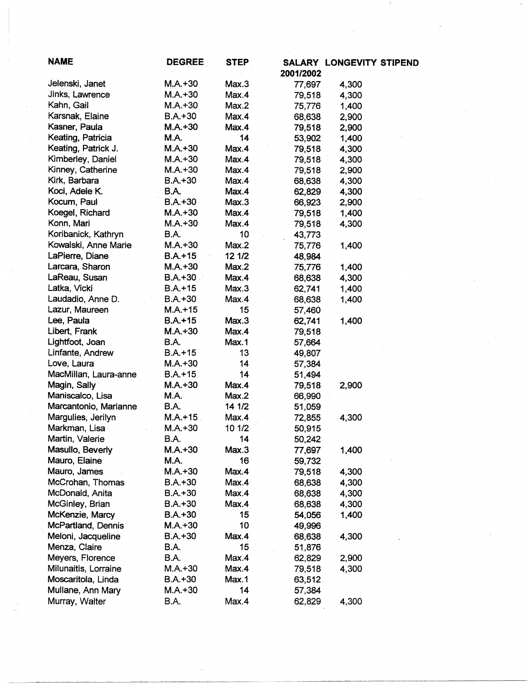| <b>NAME</b>           | <b>DEGREE</b> | <b>STEP</b> |           | SALARY LONGEVITY STIPEND |  |
|-----------------------|---------------|-------------|-----------|--------------------------|--|
|                       |               |             | 2001/2002 |                          |  |
| Jelenski, Janet       | $M.A.+30$     | Max.3       | 77,697    | 4,300                    |  |
| Jinks, Lawrence       | $M.A.+30$     | Max.4       | 79,518    | 4,300                    |  |
| Kahn, Gail            | $M.A.+30$     | Max.2       | 75,776    | 1,400                    |  |
| Karsnak, Elaine       | $B.A.+30$     | Max.4       | 68,638    | 2,900                    |  |
| Kasner, Paula         | $M.A. + 30$   | Max.4       | 79,518    | 2,900                    |  |
| Keating, Patricia     | M.A.          | 14          | 53,902    | 1,400                    |  |
| Keating, Patrick J.   | $M.A.+30$     | Max.4       | 79,518    | 4,300                    |  |
| Kimberley, Daniel     | $M.A.+30$     | Max.4       | 79,518    | 4,300                    |  |
| Kinney, Catherine     | $M.A.+30$     | Max.4       | 79,518    | 2,900                    |  |
| Kirk, Barbara         | $B.A.+30$     | Max.4       | 68,638    | 4,300                    |  |
| Koci, Adele K.        | B.A.          | Max.4       | 62,829    | 4,300                    |  |
| Kocum, Paul           | $B.A.+30$     | Max.3       | 66,923    | 2,900                    |  |
| Koegel, Richard       | $M.A.+30$     | Max.4       | 79,518    | 1,400                    |  |
| Konn, Mari            | $M.A.+30$     | Max.4       | 79,518    | 4,300                    |  |
| Koribanick, Kathryn   | B.A.          | 10          | 43,773    |                          |  |
| Kowalski, Anne Marie  | $M.A.+30$     | Max.2       |           | 1,400                    |  |
| LaPierre, Diane       | $B.A.+15$     | 12 1/2      | 75,776    |                          |  |
| Larcara, Sharon       |               |             | 48,984    |                          |  |
|                       | $M.A.+30$     | Max.2       | 75,776    | 1,400                    |  |
| LaReau, Susan         | $B.A.+30$     | Max.4       | 68,638    | 4,300                    |  |
| Latka, Vicki          | $B.A.+15$     | Max.3       | 62,741    | 1,400                    |  |
| Laudadio, Anne D.     | B.A.+30       | Max.4       | 68,638    | 1,400                    |  |
| Lazur, Maureen        | $M.A.+15$     | 15          | 57,460    |                          |  |
| Lee, Paula            | $B.A.+15$     | Max.3       | 62,741    | 1,400                    |  |
| Libert, Frank         | $M.A.+30$     | Max.4       | 79,518    |                          |  |
| Lightfoot, Joan       | <b>B.A.</b>   | Max.1       | 57,664    |                          |  |
| Linfante, Andrew      | $B.A. + 15$   | 13          | 49,807    |                          |  |
| Love, Laura           | $M.A.+30$     | 14          | 57,384    |                          |  |
| MacMillan, Laura-anne | $B.A. + 15$   | 14          | 51,494    |                          |  |
| Magin, Sally          | $M.A. + 30$   | Max.4       | 79,518    | 2,900                    |  |
| Maniscalco, Lisa      | M.A.          | Max.2       | 66,990    |                          |  |
| Marcantonio, Marianne | B.A.          | 14 1/2      | 51,059    |                          |  |
| Margulies, Jerilyn    | M.A.+15       | Max.4       | 72,855    | 4,300                    |  |
| Markman, Lisa         | $M.A.+30$     | 10 1/2      | 50,915    |                          |  |
| Martin, Valerie       | B.A.          | 14          | 50,242    |                          |  |
| Masullo, Beverly      | $M.A.+30$     | Max.3       | 77,697    | 1,400                    |  |
| Mauro, Elaine         | M.A.          | 16          | 59,732    |                          |  |
| Mauro, James          | $M.A.+30$     | Max.4       | 79,518    | 4,300                    |  |
| McCrohan, Thomas      | $B.A.+30$     | Max.4       | 68,638    | 4,300                    |  |
| McDonald, Anita       | $B.A.+30$     | Max.4       | 68,638    | 4,300                    |  |
| McGinley, Brian       | B.A.+30       | Max.4       | 68,638    | 4,300                    |  |
| McKenzie, Marcy       | $B.A.+30$     | 15          | 54,056    | 1,400                    |  |
| McPartland, Dennis    | $M.A.+30$     | 10          | 49,996    |                          |  |
| Meloni, Jacqueline    | $B.A. + 30$   | Max.4       | 68,638    | 4,300                    |  |
| Menza, Claire         | B.A.          | 15          | 51,876    |                          |  |
| Meyers, Florence      | B.A.          | Max.4       | 62,829    | 2,900                    |  |
| Milunaitis, Lorraine  | $M.A.+30$     | Max.4       | 79,518    | 4,300                    |  |
| Moscaritola, Linda    | $B.A. + 30$   | Max.1       | 63,512.   |                          |  |
| Mullane, Ann Mary     | $M.A.+30$     | 14          | 57,384    |                          |  |
| Murray, Walter        | B.A.          | Max.4       | 62,829    | 4,300                    |  |
|                       |               |             |           |                          |  |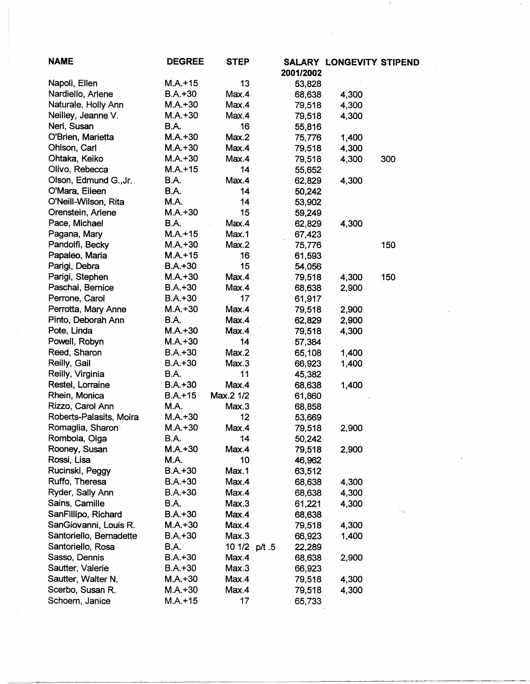| <b>NAME</b>                         | <b>DEGREE</b> | <b>STEP</b>   | 2001/2002        | <b>SALARY LONGEVITY STIPEND</b> |     |
|-------------------------------------|---------------|---------------|------------------|---------------------------------|-----|
| Napoli, Ellen                       | $M.A.+15$     | 13            | 53,828           |                                 |     |
| Nardiello, Arlene                   | $B.A.+30$     | Max.4         | 68,638           | 4,300                           |     |
| Naturale, Holly Ann                 | $M.A.+30$     | Max.4         | 79,518           | 4,300                           |     |
| Neilley, Jeanne V.                  | $M.A.+30$     | Max.4         | 79,518           | 4,300                           |     |
| Neri, Susan                         | <b>B.A.</b>   | 16            | 55,816           |                                 |     |
| O'Brien, Marietta                   | $M.A. + 30$   | Max.2         | 75,776           | 1,400                           |     |
| Ohlson, Carl                        | $M.A.+30$     | Max.4         | 79,518           | 4,300                           |     |
| Ohtaka, Keiko                       | $M.A.+30$     | Max.4         | 79,518           | 4,300                           | 300 |
| Olivo, Rebecca                      | $M.A.+15$     | 14            | 55,652           |                                 |     |
| Olson, Edmund G., Jr.               | B.A.          | Max.4         | 62,829           | 4,300                           |     |
| O'Mara, Eileen                      | B.A.          | 14            | 50,242           |                                 |     |
| O'Neill-Wilson, Rita                | M.A.          | 14            | 53,902           |                                 |     |
| Orenstein, Arlene                   | $M.A.+30$     | 15            | 59,249           |                                 |     |
| Pace, Michael                       | <b>B.A.</b>   | Max.4         | 62,829           | 4,300                           |     |
| Pagana, Mary                        | $M.A. + 15$   | Max.1         | 67,423           |                                 |     |
| Pandolfi, Becky                     | $M.A.+30$     | Max.2         |                  |                                 | 150 |
| Papaleo, Maria                      | $M.A.+15$     | 16            | 75,776<br>61,593 |                                 |     |
| Parigi, Debra                       | $B.A.+30$     | 15            |                  |                                 |     |
|                                     | $M.A.+30$     | Max.4         | 54,056           |                                 |     |
| Parigi, Stephen<br>Paschal, Bernice | $B.A.+30$     |               | 79,518           | 4,300                           | 150 |
| Perrone, Carol                      | $B.A.+30$     | Max.4<br>17   | 68,638           | 2,900                           |     |
| Perrotta, Mary Anne                 | $M.A.+30$     |               | 61,917           |                                 |     |
|                                     | <b>B.A.</b>   | Max.4         | 79,518           | 2,900                           |     |
| Pinto, Deborah Ann                  |               | Max.4         | 62,829           | 2,900                           |     |
| Pote, Linda                         | $M.A.+30$     | Max.4         | 79,518           | 4,300                           |     |
| Powell, Robyn                       | $M.A.+30$     | 14            | 57,384           |                                 |     |
| Reed, Sharon                        | $B.A.+30$     | Max.2         | 65,108           | 1,400                           |     |
| Reilly, Gail                        | $B.A. + 30$   | Max.3         | 66,923           | 1,400                           |     |
| Reilly, Virginia                    | <b>B.A.</b>   | 11            | 45,382           |                                 |     |
| Restel, Lorraine                    | $B.A.+30$     | Max.4         | 68,638           | 1,400                           |     |
| Rhein, Monica                       | $B.A.+15$     | Max.2 1/2     | 61,860           |                                 |     |
| Rizzo, Carol Ann                    | M.A.          | Max.3         | 68,858           |                                 |     |
| Roberts-Palasits, Moira             | $M.A.+30$     | 12            | 53,669           |                                 |     |
| Romaglia, Sharon                    | $M.A. + 30$   | Max.4         | 79,518           | 2,900                           |     |
| Rombola, Olga                       | B.A.          | 14            | 50,242           |                                 |     |
| Rooney, Susan                       | $M.A.+30$     | Max.4         | 79,518           | 2,900                           |     |
| Rossi, Lisa                         | M.A.          | 10            | 46,962           |                                 |     |
| Rucinski, Peggy                     | $B.A.+30$     | Max.1         | 63,512           |                                 |     |
| Ruffo, Theresa                      | $B.A. + 30$   | Max.4         | 68,638           | 4,300                           |     |
| Ryder, Sally Ann                    | $B.A.+30$     | Max.4         | 68,638           | 4,300                           |     |
| Sains, Camille                      | B.A.          | Max.3         | 61,221           | 4,300                           |     |
| SanFillipo, Richard                 | $B.A.+30$     | Max.4         | 68,638           |                                 |     |
| SanGiovanni, Louis R.               | $M.A.+30$     | Max.4         | 79,518           | 4,300                           |     |
| Santoriello, Bernadette             | $B.A.+30$     | Max.3         | 66,923           | 1,400                           |     |
| Santoriello, Rosa                   | B.A.          | 10 1/2 p/t .5 | 22,289           |                                 |     |
| Sasso, Dennis                       | $B.A.+30$     | Max.4         | 68,638           | 2,900                           |     |
| Sautter, Valerie                    | $B.A.+30$     | Max.3         | 66,923           |                                 |     |
| Sautter, Walter N.                  | M.A.+30       | Max.4         | 79,518           | 4,300                           |     |
| Scerbo, Susan R.                    | $M.A.+30$     | Max.4         | 79,518           | 4,300                           |     |
| Schoem, Janice                      | $M.A.+15$     | 17            | 65,733           |                                 |     |

 $\label{eq:2} \frac{1}{\left\| \frac{1}{\left( \frac{1}{\sqrt{2}} \right)^{2}} \right\|_{2}^{2}}$